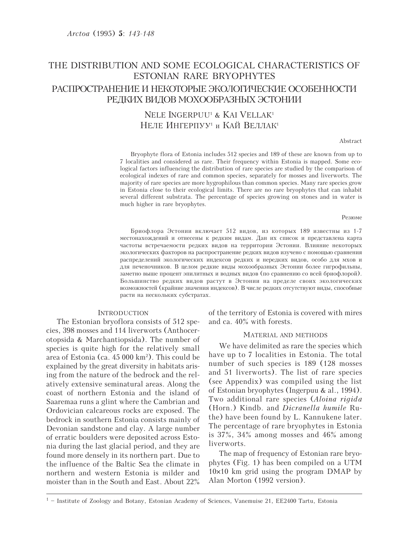# THE DISTRIBUTION AND SOME ECOLOGICAL CHARACTERISTICS OF ESTONIAN RARE BRYOPHYTES РАСПРОСТРАНЕНИЕ И НЕКОТОРЫЕ ЭКОЛОГИЧЕСКИЕ ОСОБЕННОСТИ РЕДКИХ ВИДОВ МОХООБРАЗНЫХ ЭСТОНИИ

# NELE INGERPUU<sup>1</sup> & KAI VELLAK<sup>1</sup> НЕЛЕ ИНГЕРПУУ<sup>1</sup> и КАЙ ВЕЛЛАК<sup>1</sup>

#### Abstract

Bryophyte flora of Estonia includes 512 species and 189 of these are known from up to 7 localities and considered as rare. Their frequency within Estonia is mapped. Some ecological factors influencing the distribution of rare species are studied by the comparison of ecological indexes of rare and common species, separately for mosses and liverworts. The majority of rare species are more hygrophilous than common species. Many rare species grow in Estonia close to their ecological limits. There are no rare bryophytes that can inhabit several different substrata. The percentage of species growing on stones and in water is much higher in rare bryophytes.

#### Резюме

Бриофлора Эстонии включает 512 видов, из которых 189 известны из 1-7 местонахождений и отнесены к редким видам. Дан их список и представлена карта частоты встречаемости редких видов на территории Эстонии. Влияние некоторых экологических факторов на распространение редких видов изучено с помощью сравнения распределений экологических индексов редких и нередких видов, особо для мхов и для печеночников. В целом редкие виды мохообразных Эстонии более гигрофильны, заметно выше процент эпилитных и водных видов (по сравнению со всей бриофлорой). Большинство редких видов растут в Эстонии на пределе своих экологических возможностей (крайние значения индексов). В числе редких отсутствуют виды, способные расти на нескольких субстратах.

## **INTRODUCTION**

The Estonian bryoflora consists of 512 species, 398 mosses and 114 liverworts (Anthocerotopsida & Marchantiopsida). The number of species is quite high for the relatively small area of Estonia (ca. 45 000 km<sup>2</sup>). This could be explained by the great diversity in habitats arising from the nature of the bedrock and the relatively extensive seminatural areas. Along the coast of northern Estonia and the island of Saaremaa runs a glint where the Cambrian and Ordovician calcareous rocks are exposed. The bedrock in southern Estonia consists mainly of Devonian sandstone and clay. A large number of erratic boulders were deposited across Estonia during the last glacial period, and they are found more densely in its northern part. Due to the influence of the Baltic Sea the climate in northern and western Estonia is milder and moister than in the South and East. About 22% of the territory of Estonia is covered with mires and ca. 40% with forests.

## MATERIAL AND METHODS

We have delimited as rare the species which have up to 7 localities in Estonia. The total number of such species is 189 (128 mosses) and 51 liverworts). The list of rare species (see Appendix) was compiled using the list of Estonian bryophytes (Ingerpuu & al., 1994). Two additional rare species (Aloina rigida (Horn.) Kindb. and *Dicranella humile* Ruthe) have been found by L. Kannukene later. The percentage of rare bryophytes in Estonia is  $37\%$ ,  $34\%$  among mosses and  $46\%$  among liverworts.

The map of frequency of Estonian rare bryophytes (Fig. 1) has been compiled on a UTM  $10\times10$  km grid using the program DMAP by Alan Morton (1992 version).

 $1$  – Institute of Zoology and Botany, Estonian Academy of Sciences, Vanemuise 21, EE2400 Tartu, Estonia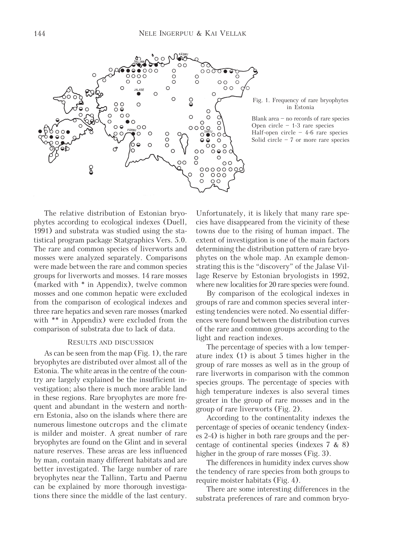



Blank area – no records of rare species Open circle – 1-3 rare species Half-open circle  $-4$ -6 rare species Solid circle  $-7$  or more rare species

The relative distribution of Estonian bryophytes according to ecological indexes (Duell, 1991) and substrata was studied using the statistical program package Statgraphics Vers. 5.0. The rare and common species of liverworts and mosses were analyzed separately. Comparisons were made between the rare and common species groups for liverworts and mosses. 14 rare mosses (marked with \* in Appendix), twelve common mosses and one common hepatic were excluded from the comparison of ecological indexes and three rare hepatics and seven rare mosses (marked with \*\* in Appendix) were excluded from the comparison of substrata due to lack of data.

#### RESULTS AND DISCUSSION

As can be seen from the map (Fig. 1), the rare bryophytes are distributed over almost all of the Estonia. The white areas in the centre of the country are largely explained be the insufficient investigation; also there is much more arable land in these regions. Rare bryophytes are more frequent and abundant in the western and northern Estonia, also on the islands where there are numerous limestone outcrops and the climate is milder and moister. A great number of rare bryophytes are found on the Glint and in several nature reserves. These areas are less influenced by man, contain many different habitats and are better investigated. The large number of rare bryophytes near the Tallinn, Tartu and Paernu can be explained by more thorough investigations there since the middle of the last century.

Unfortunately, it is likely that many rare species have disappeared from the vicinity of these towns due to the rising of human impact. The extent of investigation is one of the main factors determining the distribution pattern of rare bryophytes on the whole map. An example demonstrating this is the "discovery" of the Jalase Village Reserve by Estonian bryologists in 1992, where new localities for 20 rare species were found.

By comparison of the ecological indexes in groups of rare and common species several interesting tendencies were noted. No essential differences were found between the distribution curves of the rare and common groups according to the light and reaction indexes.

The percentage of species with a low temperature index (1) is about 5 times higher in the group of rare mosses as well as in the group of rare liverworts in comparison with the common species groups. The percentage of species with high temperature indexes is also several times greater in the group of rare mosses and in the group of rare liverworts (Fig. 2).

According to the continentality indexes the percentage of species of oceanic tendency (indexes 2-4) is higher in both rare groups and the percentage of continental species (indexes 7 & 8) higher in the group of rare mosses (Fig. 3).

The differences in humidity index curves show the tendency of rare species from both groups to require moister habitats (Fig. 4).

There are some interesting differences in the substrata preferences of rare and common bryo-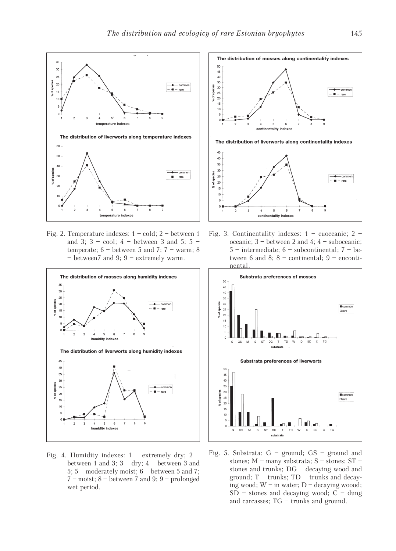

Fig. 2. Temperature indexes:  $1 - cold$ ;  $2 - between 1$ and 3;  $3 - \text{cool}$ ;  $4 - \text{between 3}$  and 5;  $5 - \text{?}$ temperate;  $6$  – between 5 and 7;  $7$  – warm; 8 – between7 and 9; 9 – extremely warm.



Fig. 4. Humidity indexes:  $1 -$  extremely dry;  $2$ between 1 and 3;  $3 - dry$ ;  $4 - between 3$  and 5; 5 – moderately moist; 6 – between 5 and 7; 7 – moist; 8 – between 7 and 9; 9 – prolonged wet period.



Fig. 3. Continentality indexes:  $1 -$  euoceanic;  $2$ oceanic; 3 – between 2 and 4; 4 – suboceanic;  $5$  – intermediate;  $6$  – subcontinental;  $7$  – between 6 and 8;  $8$  – continental;  $9$  – eucontinental.



Fig. 5. Substrata: G – ground; GS – ground and stones; M – many substrata; S – stones; ST – stones and trunks; DG – decaying wood and ground;  $T -$  trunks;  $TD -$  trunks and decaying wood; W – in water; D – decaying woood;  $SD$  – stones and decaying wood;  $C$  – dung and carcasses; TG – trunks and ground.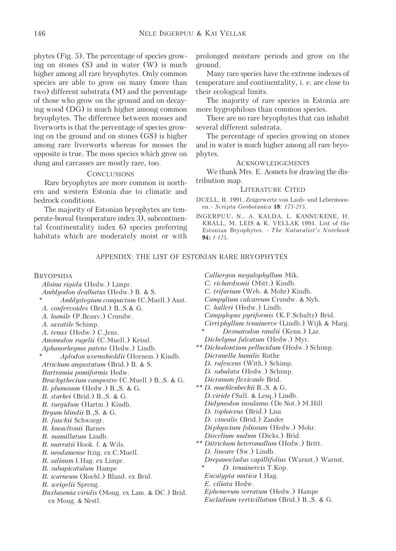phytes (Fig. 5). The percentage of species growing on stones  $(S)$  and in water  $(W)$  is much higher among all rare bryophytes. Only common species are able to grow on many (more than two) different substrata (M) and the percentage of those who grow on the ground and on decaying wood (DG) is much higher among common bryophytes. The difference between mosses and liverworts is that the percentage of species growing on the ground and on stones (GS) is higher among rare liverworts whereas for mosses the opposite is true. The moss species which grow on dung and carcasses are mostly rare, too.

## **CONCLUSIONS**

Rare bryophytes are more common in northern and western Estonia due to climatic and bedrock conditions.

The majority of Estonian bryophytes are temperate-boreal (temperature index 3), subcontinental (continentality index 6) species preferring habitats which are moderately moist or with

prolonged moisture periods and grow on the ground.

Many rare species have the extreme indexes of temperature and continentality, i. e. are close to their ecological limits.

The majority of rare species in Estonia are more hygrophilous than common species.

There are no rare bryophytes that can inhabit several different substrata.

The percentage of species growing on stones and in water is much higher among all rare bryophytes.

### ACKNOWLEDGEMENTS

We thank Mrs. E. Aomets for drawing the distribution map.

### LITERATURE CITED

- DUELL, R. 1991. Zeigerwerte von Laub- und Lebermoosen. - Scripta Geobotanica 18: 175-215.
- INGERPUU, N., A. KALDA, L. KANNUKENE, H. KRALL, M. LEIS & K. VELLAK 1994. List of the Estonian Bryophytes. - The Naturalist's Notebook 94: 1-175.

## APPENDIX: THE LIST OF ESTONIAN RARE BRYOPHYTES

BRYOPSIDA Aloina rigida (Hedw.) Limpr. Amblyodon dealbatus (Hedw.) B. & S. Amblystegium compactum (C.Muell.) Aust. A. confervoides (Brid.) B.,S.& G. A. humile (P.Beauv.) Crundw. A. saxatile Schimp. A. tenax (Hedw.) C.Jens. Anomodon rugelii (C.Muell.) Keissl. Aphanorhegma patens (Hedw.) Lindb. Aplodon wormskioldii (Hornem.) Kindb. Atrichum angustatum (Brid.) B. & S. Bartramia pomiformis Hedw. Brachythecium campestre (C.Muell.) B.,S. & G. B. plumosum (Hedw.) B.,S. & G. B. starkei (Brid.) B.,S. & G. B. turgidum (Hartm.) Kindb. Bryum blindii B.,S. & G. B. funckii Schwaegr. B. knowltonii Barnes B. mamillatum Lindb. B. marratii Hook. f. & Wils. B. neodamense Itzig. ex C.Muell. B. *salinum* I.Hag. ex Limpr. B. subapicatulum Hampe B. warneum (Roehl.) Bland. ex Brid. B. weigelii Spreng. Buxbaumia viridis (Moug. ex Lam. & DC.) Brid. ex Moug. & Nestl.

Calliergon megalophyllum Mik. C. richardsonii (Mitt.) Kindb. C. trifarium (Web. & Mohr) Kindb. Campylium calcareum Crundw. & Nyh. C. halleri (Hedw.) Lindb. Campylopus pyriformis (K.F.Schultz) Brid. Cirriphyllum tenuinerve (Lindb.) Wijk & Marg. Desmatodon randii (Kenn.) Laz. Dichelyma falcatum (Hedw.) Myr. \*\* Dichodontium pellucidum (Hedw.) Schimp. Dicranella humilis Ruthe D. *rufescens* (With.) Schimp. D. subulata (Hedw.) Schimp. Dicranum flexicaule Brid. \*\* D. muehlenbeckii B.,S. & G. D.viride (Sull. & Lesq.) Lindb. Didymodon insulanus (De Not.) M.Hill D. tophaceus (Brid.) Lisa D. vinealis (Brid.) Zander Diphyscium foliosum (Hedw.) Mohr. Discelium nudum (Dicks.) Brid. \*\* Ditrichum heteromallum (Hedw.) Britt. D. lineare (Sw.) Lindb. Drepanocladus capillifolius (Warnst.) Warnst. D. tenuinervis T.Kop. Encalypta mutica I.Hag. E. ciliata Hedw. Ephemerum serratum (Hedw.) Hampe Eucladium verticillatum (Brid.) B.,S. & G.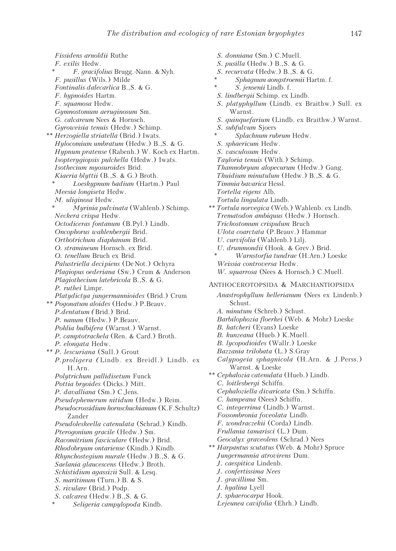S. donniana (Sm.) C.Muell. S. pusilla (Hedw.) B.,S. & G.

Fissidens arnoldii Ruthe F. exilis Hedw. \* F. gracifolius Brugg.-Nann. & Nyh. F. pusillus (Wils.) Milde Fontinalis dalecarlica B.,S. & G. F. hypnoides Hartm. F. squamosa Hedw. Gymnostomum aeruginosum Sm. G. calcareum Nees & Hornsch. Gyroweisia tenuis (Hedw.) Schimp. \*\* Herzogiella striatella (Brid.) Iwats. Hylocomium umbratum (Hedw.) B.,S. & G. Hypnum pratense (Rabenh.) W. Koch ex Hartm. Isopterygiopsis pulchella (Hedw.) Iwats. Isothecium myosuroides Brid. Kiaeria blyttii (B.,S. & G.) Broth. Loeskypnum badium (Hartm.) Paul Meesia longiseta Hedw. M. uliginosa Hedw. Myrinia pulvinata (Wahlenb.) Schimp. Neckera crispa Hedw. Octodiceras fontanum (B.Pyl.) Lindb. Oncophorus wahlenbergii Brid. Orthotrichum diaphanum Brid. O. stramineum Hornsch. ex Brid. O. tenellum Bruch ex Brid. Palustriella decipiens (De Not.) Ochyra Plagiopus oederiana (Sw.) Crum & Anderson Plagiothecium latebricola B.,S. & G. P. ruthei Limpr. Platydictya jungermannioides (Brid.) Crum \*\* Pogonatum aloides (Hedw.) P.Beauv. P.dentatum (Brid.) Brid. P. nanum (Hedw.) P.Beauv. Pohlia bulbifera (Warnst.) Warnst. P. camptotrachela (Ren. & Card.) Broth. P. elongata Hedw. \*\* P. lescuriana (Sull.) Grout P.proligera (Lindb. ex Breidl.) Lindb. ex H.Arn. Polytrichum pallidisetum Funck Pottia bryoides (Dicks.) Mitt. P. davalliana (Sm.) C.Jens. Pseudephemerum nitidum (Hedw.) Reim. Pseudocrossidium hornschuchianum (K.F.Schultz) Zander Pseudoleskeella catenulata (Schrad.) Kindb. Pterogonium gracile (Hedw.) Sm. Racomitrium fasciculare (Hedw.) Brid. Rhodobryum ontariense (Kindb.) Kindb. Rhynchostegium murale (Hedw.) B.,S. & G. Saelania glaucescens (Hedw.) Broth. Schistidium agassizii Sull. & Lesq. S. maritimum (Turn.) B. & S. S. rivulare (Brid.) Podp. S. calcarea (Hedw.) B.,S. & G. Seligeria campylopoda Kindb.

S. recurvata (Hedw.) B.,S. & G. Sphagnum aongstroemii Hartm. f. S. jensenii Lindb. f. S. lindbergii Schimp. ex Lindb. S. platyphyllum (Lindb. ex Braithw.) Sull. ex Warnst. S. quinquefarium (Lindb. ex Braithw.) Warnst. S. subfulvum Sjoers Splachnum rubrum Hedw. S. sphaericum Hedw. S. vasculosum Hedw. Tayloria tenuis (With.) Schimp. Thamnobryum alopecurum (Hedw.) Gang. Thuidium minutulum (Hedw.) B.,S. & G. Timmia bavarica Hessl. Tortella rigens Alb. Tortula lingulata Lindb. \*\* Tortula norvegica (Web.) Wahlenb. ex Lindb. Trematodon ambiquus (Hedw.) Hornsch. Trichostomum crispulum Bruch Ulota coarctata (P.Beauv.) Hammar U. curvifolia (Wahlenb.) Lilj. U. drummondii (Hook. & Grev.) Brid. Warnstorfia tundrae (H.Arn.) Loeske Weissia controversa Hedw. W. squarrosa (Nees & Hornsch.) C.Muell. ANTHOCEROTOPSIDA & MARCHANTIOPSIDA Anastrophyllum hellerianum (Nees ex Lindenb.) Schust. A. minutum (Schreb.) Schust. Barbilophozia floerkei (Web. & Mohr) Loeske B. hatcheri (Evans) Loeske B. kunzeana (Hueb.) K.Muell. B. lycopodioides (Wallr.) Loeske Bazzania trilobata (L.) S.Gray Calypogeia sphagnicola (H.Arn. & J.Perss.) Warnst. & Loeske \*\* Cephalozia catenulata (Hueb.) Lindb. C. loitlesbergi Schiffn. Cephaloziella divaricata (Sm.) Schiffn. C. hampeana (Nees) Schiffn. C. integerrima (Lindb.) Warnst. Fossombronia foveolata Lindb. F. wondraczekii (Corda) Lindb. Frullania tamarisci (L.) Dum. Geocalyx graveolens (Schrad.) Nees \*\* Harpantus scutatus (Web. & Mohr) Spruce Jungermannia atrovirens Dum. J. caespitica Lindenb. J. confertissima Nees J. gracillima Sm. J. hyalina Lyell J. sphaerocarpa Hook. Lejeunea cavifolia (Ehrh.) Lindb.